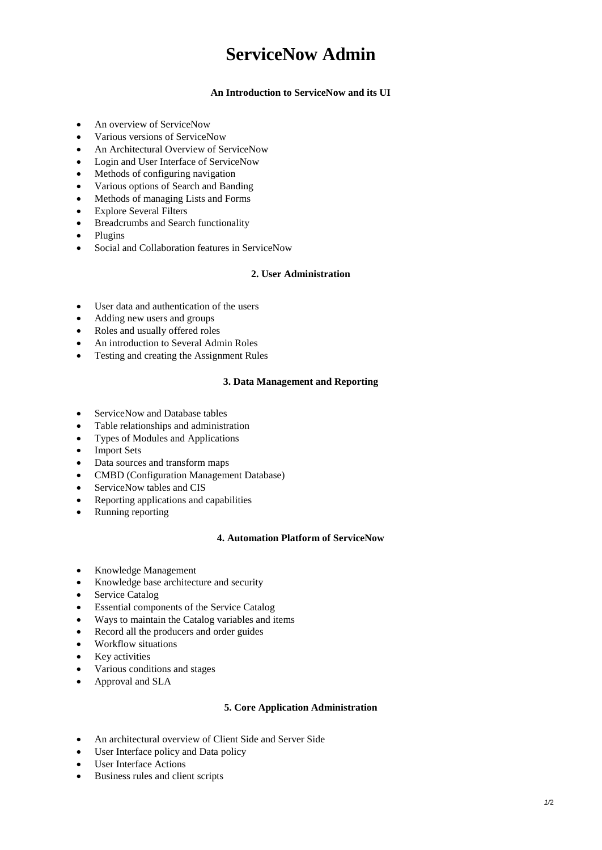# **ServiceNow Admin**

### **An Introduction to ServiceNow and its UI**

- An overview of ServiceNow
- Various versions of ServiceNow
- An Architectural Overview of ServiceNow
- Login and User Interface of ServiceNow
- Methods of configuring navigation
- Various options of Search and Banding
- Methods of managing Lists and Forms
- Explore Several Filters
- Breadcrumbs and Search functionality
- Plugins
- Social and Collaboration features in ServiceNow

## **2. User Administration**

- User data and authentication of the users
- Adding new users and groups
- Roles and usually offered roles
- An introduction to Several Admin Roles
- Testing and creating the Assignment Rules

#### **3. Data Management and Reporting**

- ServiceNow and Database tables
- Table relationships and administration
- Types of Modules and Applications
- Import Sets
- Data sources and transform maps
- CMBD (Configuration Management Database)
- ServiceNow tables and CIS
- Reporting applications and capabilities
- Running reporting

#### **4. Automation Platform of ServiceNow**

- Knowledge Management
- Knowledge base architecture and security
- Service Catalog
- Essential components of the Service Catalog
- Ways to maintain the Catalog variables and items
- Record all the producers and order guides
- Workflow situations
- Key activities
- Various conditions and stages
- Approval and SLA

#### **5. Core Application Administration**

- An architectural overview of Client Side and Server Side
- User Interface policy and Data policy
- User Interface Actions
- Business rules and client scripts